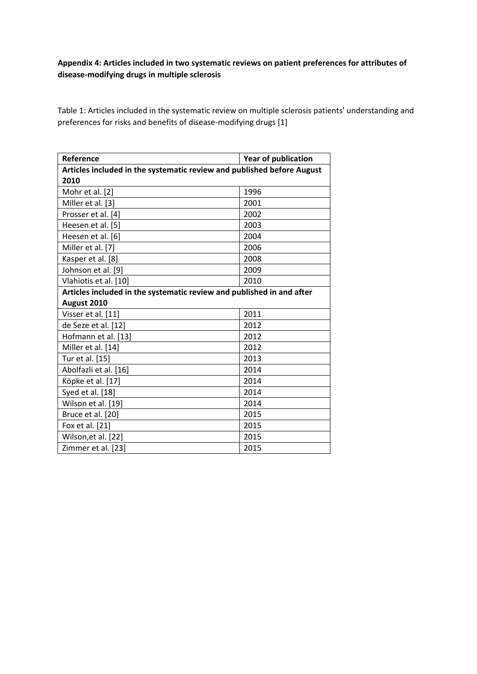## **Appendix 4: Articles included in two systematic reviews on patient preferences for attributes of disease-modifying drugs in multiple sclerosis**

Table 1: Articles included in the systematic review on multiple sclerosis patients' understanding and preferences for risks and benefits of disease-modifying drugs [1]

| Reference                                                              | <b>Year of publication</b> |  |
|------------------------------------------------------------------------|----------------------------|--|
| Articles included in the systematic review and published before August |                            |  |
| 2010                                                                   |                            |  |
| Mohr et al. [2]                                                        | 1996                       |  |
| Miller et al. [3]                                                      | 2001                       |  |
| Prosser et al. [4]                                                     | 2002                       |  |
| Heesen et al. [5]                                                      | 2003                       |  |
| Heesen et al. [6]                                                      | 2004                       |  |
| Miller et al. [7]                                                      | 2006                       |  |
| Kasper et al. [8]                                                      | 2008                       |  |
| Johnson et al. [9]                                                     | 2009                       |  |
| Vlahiotis et al. [10]                                                  | 2010                       |  |
| Articles included in the systematic review and published in and after  |                            |  |
| August 2010                                                            |                            |  |
| Visser et al. [11]                                                     | 2011                       |  |
| de Seze et al. [12]                                                    | 2012                       |  |
| Hofmann et al. [13]                                                    | 2012                       |  |
| Miller et al. [14]                                                     | 2012                       |  |
| Tur et al. [15]                                                        | 2013                       |  |
| Abolfazli et al. [16]                                                  | 2014                       |  |
| Köpke et al. [17]                                                      | 2014                       |  |
| Syed et al. [18]                                                       | 2014                       |  |
| Wilson et al. [19]                                                     | 2014                       |  |
| Bruce et al. [20]                                                      | 2015                       |  |
| Fox et al. [21]                                                        | 2015                       |  |
| Wilson, et al. [22]                                                    | 2015                       |  |
| Zimmer et al. [23]                                                     | 2015                       |  |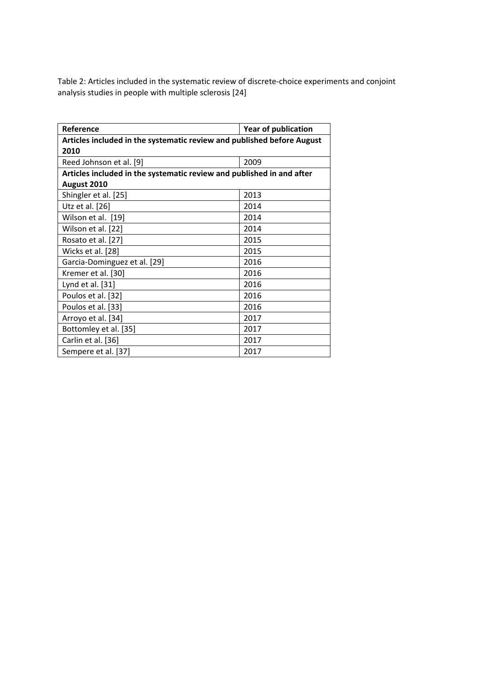Table 2: Articles included in the systematic review of discrete-choice experiments and conjoint analysis studies in people with multiple sclerosis [24]

| Reference                                                              | <b>Year of publication</b> |  |
|------------------------------------------------------------------------|----------------------------|--|
| Articles included in the systematic review and published before August |                            |  |
| 2010                                                                   |                            |  |
| Reed Johnson et al. [9]                                                | 2009                       |  |
| Articles included in the systematic review and published in and after  |                            |  |
| August 2010                                                            |                            |  |
| Shingler et al. [25]                                                   | 2013                       |  |
| Utz et al. [26]                                                        | 2014                       |  |
| Wilson et al. [19]                                                     | 2014                       |  |
| Wilson et al. [22]                                                     | 2014                       |  |
| Rosato et al. [27]                                                     | 2015                       |  |
| Wicks et al. [28]                                                      | 2015                       |  |
| Garcia-Dominguez et al. [29]                                           | 2016                       |  |
| Kremer et al. [30]                                                     | 2016                       |  |
| Lynd et al. [31]                                                       | 2016                       |  |
| Poulos et al. [32]                                                     | 2016                       |  |
| Poulos et al. [33]                                                     | 2016                       |  |
| Arroyo et al. [34]                                                     | 2017                       |  |
| Bottomley et al. [35]                                                  | 2017                       |  |
| Carlin et al. [36]                                                     | 2017                       |  |
| Sempere et al. [37]                                                    | 2017                       |  |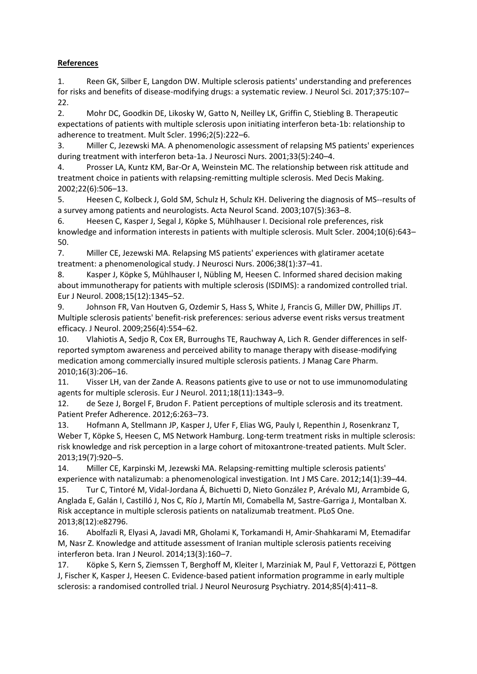## **References**

1. Reen GK, Silber E, Langdon DW. Multiple sclerosis patients' understanding and preferences for risks and benefits of disease-modifying drugs: a systematic review. J Neurol Sci. 2017;375:107– 22.

2. Mohr DC, Goodkin DE, Likosky W, Gatto N, Neilley LK, Griffin C, Stiebling B. Therapeutic expectations of patients with multiple sclerosis upon initiating interferon beta-1b: relationship to adherence to treatment. Mult Scler. 1996;2(5):222–6.

3. Miller C, Jezewski MA. A phenomenologic assessment of relapsing MS patients' experiences during treatment with interferon beta-1a. J Neurosci Nurs. 2001;33(5):240–4.

4. Prosser LA, Kuntz KM, Bar-Or A, Weinstein MC. The relationship between risk attitude and treatment choice in patients with relapsing-remitting multiple sclerosis. Med Decis Making. 2002;22(6):506–13.

5. Heesen C, Kolbeck J, Gold SM, Schulz H, Schulz KH. Delivering the diagnosis of MS--results of a survey among patients and neurologists. Acta Neurol Scand. 2003;107(5):363–8.

6. Heesen C, Kasper J, Segal J, Köpke S, Mühlhauser I. Decisional role preferences, risk knowledge and information interests in patients with multiple sclerosis. Mult Scler. 2004;10(6):643– 50.

7. Miller CE, Jezewski MA. Relapsing MS patients' experiences with glatiramer acetate treatment: a phenomenological study. J Neurosci Nurs. 2006;38(1):37–41.

8. Kasper J, Köpke S, Mühlhauser I, Nübling M, Heesen C. Informed shared decision making about immunotherapy for patients with multiple sclerosis (ISDIMS): a randomized controlled trial. Eur J Neurol. 2008;15(12):1345–52.

9. Johnson FR, Van Houtven G, Ozdemir S, Hass S, White J, Francis G, Miller DW, Phillips JT. Multiple sclerosis patients' benefit-risk preferences: serious adverse event risks versus treatment efficacy. J Neurol. 2009;256(4):554–62.

10. Vlahiotis A, Sedjo R, Cox ER, Burroughs TE, Rauchway A, Lich R. Gender differences in selfreported symptom awareness and perceived ability to manage therapy with disease-modifying medication among commercially insured multiple sclerosis patients. J Manag Care Pharm. 2010;16(3):206–16.

11. Visser LH, van der Zande A. Reasons patients give to use or not to use immunomodulating agents for multiple sclerosis. Eur J Neurol. 2011;18(11):1343–9.

12. de Seze J, Borgel F, Brudon F. Patient perceptions of multiple sclerosis and its treatment. Patient Prefer Adherence. 2012;6:263–73.

13. Hofmann A, Stellmann JP, Kasper J, Ufer F, Elias WG, Pauly I, Repenthin J, Rosenkranz T, Weber T, Köpke S, Heesen C, MS Network Hamburg. Long-term treatment risks in multiple sclerosis: risk knowledge and risk perception in a large cohort of mitoxantrone-treated patients. Mult Scler. 2013;19(7):920–5.

14. Miller CE, Karpinski M, Jezewski MA. Relapsing-remitting multiple sclerosis patients' experience with natalizumab: a phenomenological investigation. Int J MS Care. 2012;14(1):39–44.

15. Tur C, Tintoré M, Vidal-Jordana Á, Bichuetti D, Nieto González P, Arévalo MJ, Arrambide G, Anglada E, Galán I, Castilló J, Nos C, Río J, Martín MI, Comabella M, Sastre-Garriga J, Montalban X. Risk acceptance in multiple sclerosis patients on natalizumab treatment. PLoS One. 2013;8(12):e82796.

16. Abolfazli R, Elyasi A, Javadi MR, Gholami K, Torkamandi H, Amir-Shahkarami M, Etemadifar M, Nasr Z. Knowledge and attitude assessment of Iranian multiple sclerosis patients receiving interferon beta. Iran J Neurol. 2014;13(3):160–7.

17. Köpke S, Kern S, Ziemssen T, Berghoff M, Kleiter I, Marziniak M, Paul F, Vettorazzi E, Pöttgen J, Fischer K, Kasper J, Heesen C. Evidence-based patient information programme in early multiple sclerosis: a randomised controlled trial. J Neurol Neurosurg Psychiatry. 2014;85(4):411–8.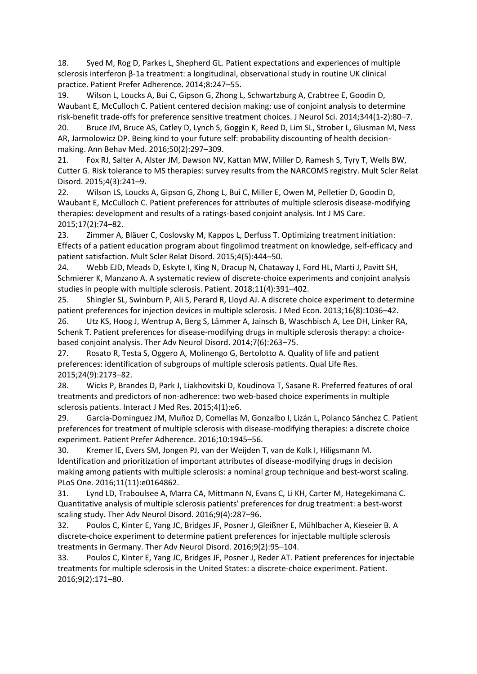18. Syed M, Rog D, Parkes L, Shepherd GL. Patient expectations and experiences of multiple sclerosis interferon β-1a treatment: a longitudinal, observational study in routine UK clinical practice. Patient Prefer Adherence. 2014;8:247–55.

19. Wilson L, Loucks A, Bui C, Gipson G, Zhong L, Schwartzburg A, Crabtree E, Goodin D, Waubant E, McCulloch C. Patient centered decision making: use of conjoint analysis to determine risk-benefit trade-offs for preference sensitive treatment choices. J Neurol Sci. 2014;344(1-2):80–7.

20. Bruce JM, Bruce AS, Catley D, Lynch S, Goggin K, Reed D, Lim SL, Strober L, Glusman M, Ness AR, Jarmolowicz DP. Being kind to your future self: probability discounting of health decisionmaking. Ann Behav Med. 2016;50(2):297–309.

21. Fox RJ, Salter A, Alster JM, Dawson NV, Kattan MW, Miller D, Ramesh S, Tyry T, Wells BW, Cutter G. Risk tolerance to MS therapies: survey results from the NARCOMS registry. Mult Scler Relat Disord. 2015;4(3):241–9.

22. Wilson LS, Loucks A, Gipson G, Zhong L, Bui C, Miller E, Owen M, Pelletier D, Goodin D, Waubant E, McCulloch C. Patient preferences for attributes of multiple sclerosis disease-modifying therapies: development and results of a ratings-based conjoint analysis. Int J MS Care. 2015;17(2):74–82.

23. Zimmer A, Bläuer C, Coslovsky M, Kappos L, Derfuss T. Optimizing treatment initiation: Effects of a patient education program about fingolimod treatment on knowledge, self-efficacy and patient satisfaction. Mult Scler Relat Disord. 2015;4(5):444–50.

24. Webb EJD, Meads D, Eskyte I, King N, Dracup N, Chataway J, Ford HL, Marti J, Pavitt SH, Schmierer K, Manzano A. A systematic review of discrete-choice experiments and conjoint analysis studies in people with multiple sclerosis. Patient. 2018;11(4):391–402.

25. Shingler SL, Swinburn P, Ali S, Perard R, Lloyd AJ. A discrete choice experiment to determine patient preferences for injection devices in multiple sclerosis. J Med Econ. 2013;16(8):1036–42.

26. Utz KS, Hoog J, Wentrup A, Berg S, Lämmer A, Jainsch B, Waschbisch A, Lee DH, Linker RA, Schenk T. Patient preferences for disease-modifying drugs in multiple sclerosis therapy: a choicebased conjoint analysis. Ther Adv Neurol Disord. 2014;7(6):263–75.

27. Rosato R, Testa S, Oggero A, Molinengo G, Bertolotto A. Quality of life and patient preferences: identification of subgroups of multiple sclerosis patients. Qual Life Res. 2015;24(9):2173–82.

28. Wicks P, Brandes D, Park J, Liakhovitski D, Koudinova T, Sasane R. Preferred features of oral treatments and predictors of non-adherence: two web-based choice experiments in multiple sclerosis patients. Interact J Med Res. 2015;4(1):e6.

29. Garcia-Dominguez JM, Muñoz D, Comellas M, Gonzalbo I, Lizán L, Polanco Sánchez C. Patient preferences for treatment of multiple sclerosis with disease-modifying therapies: a discrete choice experiment. Patient Prefer Adherence. 2016;10:1945–56.

30. Kremer IE, Evers SM, Jongen PJ, van der Weijden T, van de Kolk I, Hiligsmann M. Identification and prioritization of important attributes of disease-modifying drugs in decision making among patients with multiple sclerosis: a nominal group technique and best-worst scaling. PLoS One. 2016;11(11):e0164862.

31. Lynd LD, Traboulsee A, Marra CA, Mittmann N, Evans C, Li KH, Carter M, Hategekimana C. Quantitative analysis of multiple sclerosis patients' preferences for drug treatment: a best-worst scaling study. Ther Adv Neurol Disord. 2016;9(4):287–96.

32. Poulos C, Kinter E, Yang JC, Bridges JF, Posner J, Gleißner E, Mühlbacher A, Kieseier B. A discrete-choice experiment to determine patient preferences for injectable multiple sclerosis treatments in Germany. Ther Adv Neurol Disord. 2016;9(2):95–104.

33. Poulos C, Kinter E, Yang JC, Bridges JF, Posner J, Reder AT. Patient preferences for injectable treatments for multiple sclerosis in the United States: a discrete-choice experiment. Patient. 2016;9(2):171–80.